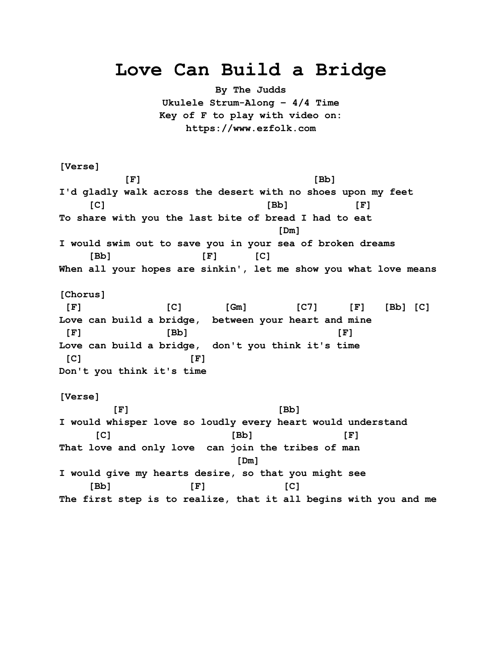## **Love Can Build a Bridge**

**By The Judds Ukulele Strum-Along – 4/4 Time Key of F to play with video on: https://www.ezfolk.com**

**[Verse] [F] [Bb] I'd gladly walk across the desert with no shoes upon my feet [C] [Bb] [F] To share with you the last bite of bread I had to eat [Dm] I would swim out to save you in your sea of broken dreams [Bb] [F] [C] When all your hopes are sinkin', let me show you what love means [Chorus] [F] [C] [Gm] [C7] [F] [Bb] [C] Love can build a bridge, between your heart and mine [F] [Bb] [F] Love can build a bridge, don't you think it's time [C] [F] Don't you think it's time [Verse] [F] [Bb] I would whisper love so loudly every heart would understand [C] [Bb] [F] That love and only love can join the tribes of man [Dm] I would give my hearts desire, so that you might see [Bb] [F] [C] The first step is to realize, that it all begins with you and me**